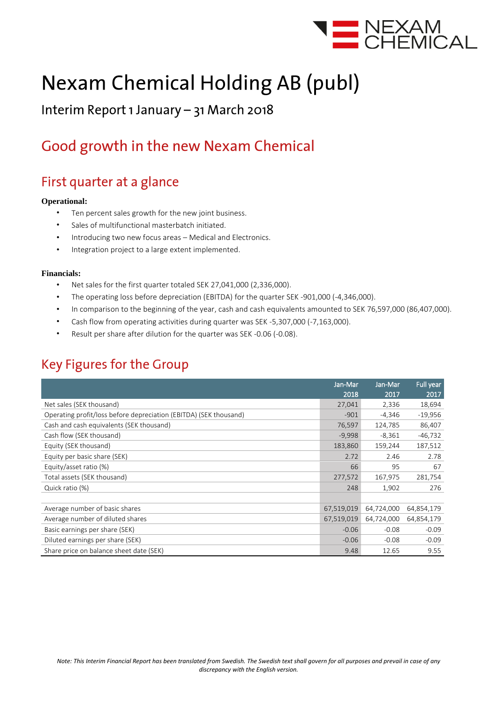

# **Nexam Chemical Holding AB (publ)**

### Interim Report 1 January - 31 March 2018

## Good growth in the new Nexam Chemical

### First quarter at a glance

#### **Operational:**

- Ten percent sales growth for the new joint business.
- Sales of multifunctional masterbatch initiated.
- Introducing two new focus areas Medical and Electronics.
- Integration project to a large extent implemented.

#### **Financials:**

- Net sales for the first quarter totaled SEK 27,041,000 (2,336,000).
- The operating loss before depreciation (EBITDA) for the quarter SEK -901,000 (-4,346,000).
- In comparison to the beginning of the year, cash and cash equivalents amounted to SEK 76,597,000 (86,407,000).
- Cash flow from operating activities during quarter was SEK -5,307,000 (-7,163,000).
- Result per share after dilution for the quarter was SEK -0.06 (-0.08).

### **Key Figures for the Group**

|                                                                   | Jan-Mar    | Jan-Mar    | Full year  |
|-------------------------------------------------------------------|------------|------------|------------|
|                                                                   | 2018       | 2017       | 2017       |
| Net sales (SEK thousand)                                          | 27,041     | 2,336      | 18,694     |
| Operating profit/loss before depreciation (EBITDA) (SEK thousand) | $-901$     | $-4,346$   | $-19,956$  |
| Cash and cash equivalents (SEK thousand)                          | 76,597     | 124,785    | 86,407     |
| Cash flow (SEK thousand)                                          | $-9,998$   | $-8,361$   | $-46,732$  |
| Equity (SEK thousand)                                             | 183,860    | 159,244    | 187,512    |
| Equity per basic share (SEK)                                      |            | 2.46       | 2.78       |
| Equity/asset ratio (%)                                            | 66         | 95         | 67         |
| Total assets (SEK thousand)                                       | 277,572    | 167,975    | 281,754    |
| Quick ratio (%)                                                   |            | 1,902      | 276        |
|                                                                   |            |            |            |
| Average number of basic shares                                    | 67,519,019 | 64,724,000 | 64,854,179 |
| Average number of diluted shares                                  | 67,519,019 | 64,724,000 | 64,854,179 |
| Basic earnings per share (SEK)                                    | $-0.06$    | $-0.08$    | $-0.09$    |
| Diluted earnings per share (SEK)                                  | $-0.06$    | $-0.08$    | $-0.09$    |
| Share price on balance sheet date (SEK)                           | 9.48       | 12.65      | 9.55       |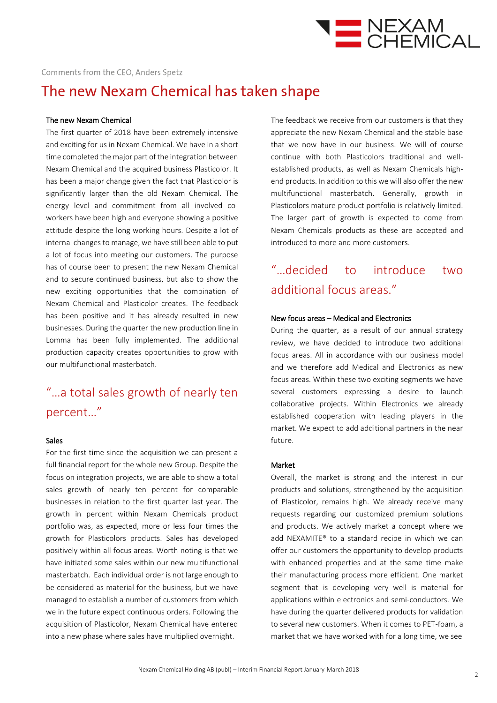

### The new Nexam Chemical has taken shape

#### The new Nexam Chemical

The first quarter of 2018 have been extremely intensive and exciting for us in Nexam Chemical. We have in a short time completed the major part of the integration between Nexam Chemical and the acquired business Plasticolor. It has been a major change given the fact that Plasticolor is significantly larger than the old Nexam Chemical. The energy level and commitment from all involved coworkers have been high and everyone showing a positive attitude despite the long working hours. Despite a lot of internal changes to manage, we have still been able to put a lot of focus into meeting our customers. The purpose has of course been to present the new Nexam Chemical and to secure continued business, but also to show the new exciting opportunities that the combination of Nexam Chemical and Plasticolor creates. The feedback has been positive and it has already resulted in new businesses. During the quarter the new production line in Lomma has been fully implemented. The additional production capacity creates opportunities to grow with our multifunctional masterbatch.

### "…a total sales growth of nearly ten percent…"

#### Sales

For the first time since the acquisition we can present a full financial report for the whole new Group. Despite the focus on integration projects, we are able to show a total sales growth of nearly ten percent for comparable businesses in relation to the first quarter last year. The growth in percent within Nexam Chemicals product portfolio was, as expected, more or less four times the growth for Plasticolors products. Sales has developed positively within all focus areas. Worth noting is that we have initiated some sales within our new multifunctional masterbatch. Each individual order is not large enough to be considered as material for the business, but we have managed to establish a number of customers from which we in the future expect continuous orders. Following the acquisition of Plasticolor, Nexam Chemical have entered into a new phase where sales have multiplied overnight.

The feedback we receive from our customers is that they appreciate the new Nexam Chemical and the stable base that we now have in our business. We will of course continue with both Plasticolors traditional and wellestablished products, as well as Nexam Chemicals highend products. In addition to this we will also offer the new multifunctional masterbatch. Generally, growth in Plasticolors mature product portfolio is relatively limited. The larger part of growth is expected to come from Nexam Chemicals products as these are accepted and introduced to more and more customers.

### "…decided to introduce two additional focus areas."

#### New focus areas – Medical and Electronics

During the quarter, as a result of our annual strategy review, we have decided to introduce two additional focus areas. All in accordance with our business model and we therefore add Medical and Electronics as new focus areas. Within these two exciting segments we have several customers expressing a desire to launch collaborative projects. Within Electronics we already established cooperation with leading players in the market. We expect to add additional partners in the near future.

#### Market

Overall, the market is strong and the interest in our products and solutions, strengthened by the acquisition of Plasticolor, remains high. We already receive many requests regarding our customized premium solutions and products. We actively market a concept where we add NEXAMITE® to a standard recipe in which we can offer our customers the opportunity to develop products with enhanced properties and at the same time make their manufacturing process more efficient. One market segment that is developing very well is material for applications within electronics and semi-conductors. We have during the quarter delivered products for validation to several new customers. When it comes to PET-foam, a market that we have worked with for a long time, we see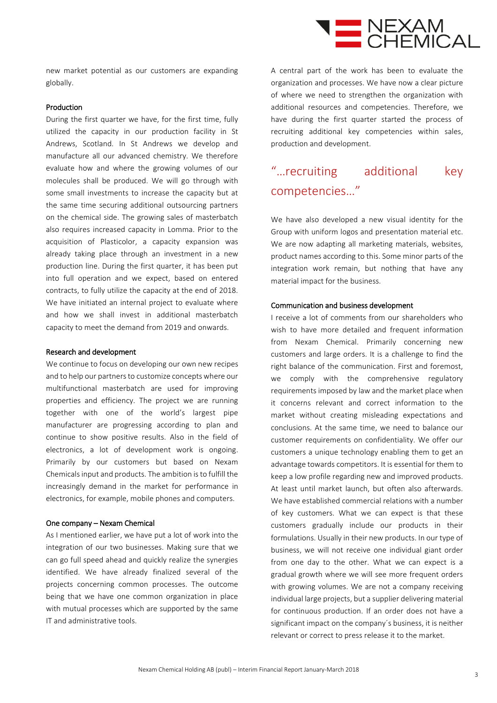

new market potential as our customers are expanding globally.

#### Production

During the first quarter we have, for the first time, fully utilized the capacity in our production facility in St Andrews, Scotland. In St Andrews we develop and manufacture all our advanced chemistry. We therefore evaluate how and where the growing volumes of our molecules shall be produced. We will go through with some small investments to increase the capacity but at the same time securing additional outsourcing partners on the chemical side. The growing sales of masterbatch also requires increased capacity in Lomma. Prior to the acquisition of Plasticolor, a capacity expansion was already taking place through an investment in a new production line. During the first quarter, it has been put into full operation and we expect, based on entered contracts, to fully utilize the capacity at the end of 2018. We have initiated an internal project to evaluate where and how we shall invest in additional masterbatch capacity to meet the demand from 2019 and onwards.

#### Research and development

We continue to focus on developing our own new recipes and to help our partners to customize concepts where our multifunctional masterbatch are used for improving properties and efficiency. The project we are running together with one of the world's largest pipe manufacturer are progressing according to plan and continue to show positive results. Also in the field of electronics, a lot of development work is ongoing. Primarily by our customers but based on Nexam Chemicals input and products. The ambition is to fulfill the increasingly demand in the market for performance in electronics, for example, mobile phones and computers.

#### One company – Nexam Chemical

As I mentioned earlier, we have put a lot of work into the integration of our two businesses. Making sure that we can go full speed ahead and quickly realize the synergies identified. We have already finalized several of the projects concerning common processes. The outcome being that we have one common organization in place with mutual processes which are supported by the same IT and administrative tools.

A central part of the work has been to evaluate the organization and processes. We have now a clear picture of where we need to strengthen the organization with additional resources and competencies. Therefore, we have during the first quarter started the process of recruiting additional key competencies within sales, production and development.

### "…recruiting additional key competencies…"

We have also developed a new visual identity for the Group with uniform logos and presentation material etc. We are now adapting all marketing materials, websites, product names according to this. Some minor parts of the integration work remain, but nothing that have any material impact for the business.

#### Communication and business development

I receive a lot of comments from our shareholders who wish to have more detailed and frequent information from Nexam Chemical. Primarily concerning new customers and large orders. It is a challenge to find the right balance of the communication. First and foremost, we comply with the comprehensive regulatory requirements imposed by law and the market place when it concerns relevant and correct information to the market without creating misleading expectations and conclusions. At the same time, we need to balance our customer requirements on confidentiality. We offer our customers a unique technology enabling them to get an advantage towards competitors. It is essential for them to keep a low profile regarding new and improved products. At least until market launch, but often also afterwards. We have established commercial relations with a number of key customers. What we can expect is that these customers gradually include our products in their formulations. Usually in their new products. In our type of business, we will not receive one individual giant order from one day to the other. What we can expect is a gradual growth where we will see more frequent orders with growing volumes. We are not a company receiving individual large projects, but a supplier delivering material for continuous production. If an order does not have a significant impact on the company´s business, it is neither relevant or correct to press release it to the market.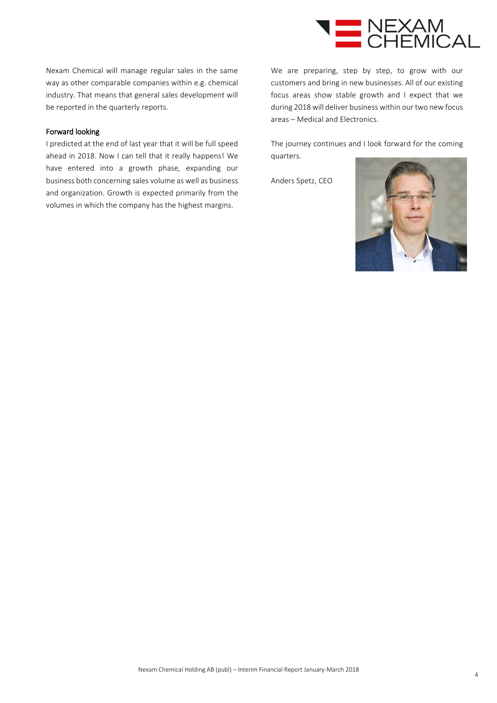

Nexam Chemical will manage regular sales in the same way as other comparable companies within e.g. chemical industry. That means that general sales development will be reported in the quarterly reports.

#### Forward looking

I predicted at the end of last year that it will be full speed ahead in 2018. Now I can tell that it really happens! We have entered into a growth phase, expanding our business both concerning sales volume as well as business and organization. Growth is expected primarily from the volumes in which the company has the highest margins.

We are preparing, step by step, to grow with our customers and bring in new businesses. All of our existing focus areas show stable growth and I expect that we during 2018 will deliver business within our two new focus areas – Medical and Electronics.

The journey continues and I look forward for the coming quarters.

Anders Spetz, CEO

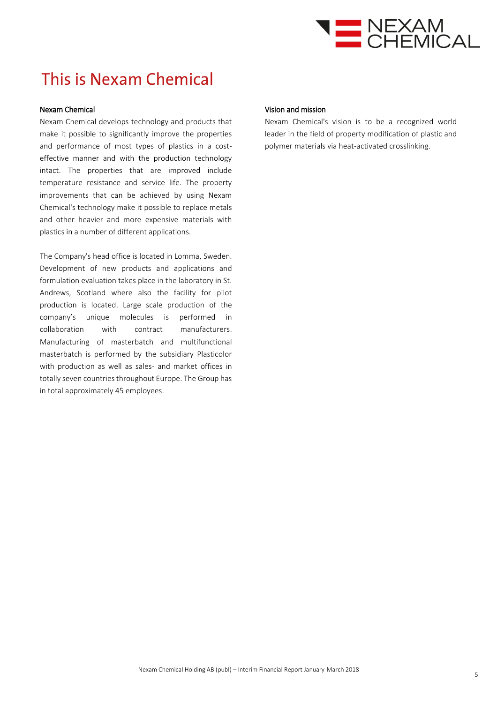

## This is Nexam Chemical

#### Nexam Chemical

Nexam Chemical develops technology and products that make it possible to significantly improve the properties and performance of most types of plastics in a costeffective manner and with the production technology intact. The properties that are improved include temperature resistance and service life. The property improvements that can be achieved by using Nexam Chemical's technology make it possible to replace metals and other heavier and more expensive materials with plastics in a number of different applications.

The Company's head office is located in Lomma, Sweden. Development of new products and applications and formulation evaluation takes place in the laboratory in St. Andrews, Scotland where also the facility for pilot production is located. Large scale production of the company's unique molecules is performed in collaboration with contract manufacturers. Manufacturing of masterbatch and multifunctional masterbatch is performed by the subsidiary Plasticolor with production as well as sales- and market offices in totally seven countries throughout Europe. The Group has in total approximately 45 employees.

#### Vision and mission

Nexam Chemical's vision is to be a recognized world leader in the field of property modification of plastic and polymer materials via heat-activated crosslinking.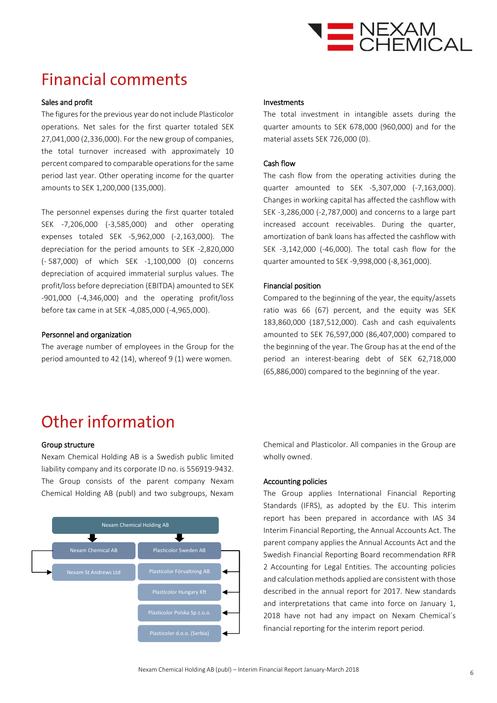

## **Financial comments**

#### Sales and profit

The figures for the previous year do not include Plasticolor operations. Net sales for the first quarter totaled SEK 27,041,000 (2,336,000). For the new group of companies, the total turnover increased with approximately 10 percent compared to comparable operations for the same period last year. Other operating income for the quarter amounts to SEK 1,200,000 (135,000).

The personnel expenses during the first quarter totaled SEK -7,206,000 (-3,585,000) and other operating expenses totaled SEK -5,962,000 (-2,163,000). The depreciation for the period amounts to SEK -2,820,000 (- 587,000) of which SEK -1,100,000 (0) concerns depreciation of acquired immaterial surplus values. The profit/loss before depreciation (EBITDA) amounted to SEK -901,000 (-4,346,000) and the operating profit/loss before tax came in at SEK -4,085,000 (-4,965,000).

#### Personnel and organization

The average number of employees in the Group for the period amounted to 42 (14), whereof 9 (1) were women.

#### Investments

The total investment in intangible assets during the quarter amounts to SEK 678,000 (960,000) and for the material assets SEK 726,000 (0).

#### Cash flow

The cash flow from the operating activities during the quarter amounted to SEK -5,307,000 (-7,163,000). Changes in working capital has affected the cashflow with SEK -3,286,000 (-2,787,000) and concerns to a large part increased account receivables. During the quarter, amortization of bank loans has affected the cashflow with SEK -3,142,000 (-46,000). The total cash flow for the quarter amounted to SEK -9,998,000 (-8,361,000).

#### Financial position

Compared to the beginning of the year, the equity/assets ratio was 66 (67) percent, and the equity was SEK 183,860,000 (187,512,000). Cash and cash equivalents amounted to SEK 76,597,000 (86,407,000) compared to the beginning of the year. The Group has at the end of the period an interest-bearing debt of SEK 62,718,000 (65,886,000) compared to the beginning of the year.

## Other information

#### Group structure

Nexam Chemical Holding AB is a Swedish public limited liability company and its corporate ID no. is 556919-9432. The Group consists of the parent company Nexam Chemical Holding AB (publ) and two subgroups, Nexam



Chemical and Plasticolor. All companies in the Group are wholly owned.

#### Accounting policies

The Group applies International Financial Reporting Standards (IFRS), as adopted by the EU. This interim report has been prepared in accordance with IAS 34 Interim Financial Reporting, the Annual Accounts Act. The parent company applies the Annual Accounts Act and the Swedish Financial Reporting Board recommendation RFR 2 Accounting for Legal Entities. The accounting policies and calculation methods applied are consistent with those described in the annual report for 2017. New standards and interpretations that came into force on January 1, 2018 have not had any impact on Nexam Chemical´s financial reporting for the interim report period.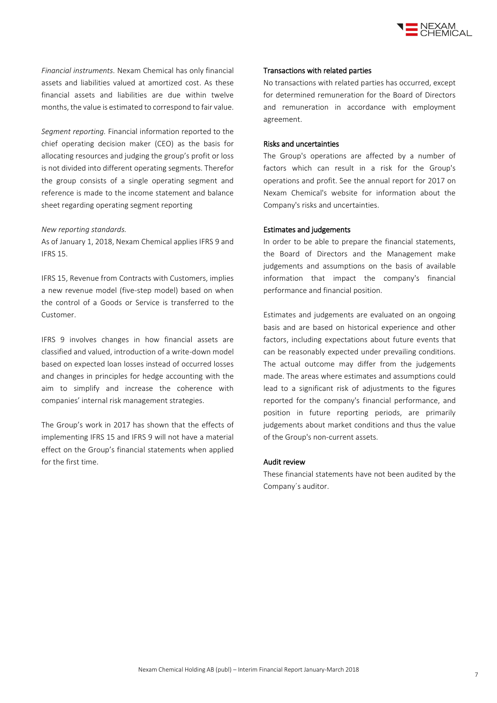

*Financial instruments.* Nexam Chemical has only financial assets and liabilities valued at amortized cost. As these financial assets and liabilities are due within twelve months, the value is estimated to correspond to fair value.

*Segment reporting.* Financial information reported to the chief operating decision maker (CEO) as the basis for allocating resources and judging the group's profit or loss is not divided into different operating segments. Therefor the group consists of a single operating segment and reference is made to the income statement and balance sheet regarding operating segment reporting

#### *New reporting standards.*

As of January 1, 2018, Nexam Chemical applies IFRS 9 and IFRS 15.

IFRS 15, Revenue from Contracts with Customers, implies a new revenue model (five-step model) based on when the control of a Goods or Service is transferred to the Customer.

IFRS 9 involves changes in how financial assets are classified and valued, introduction of a write-down model based on expected loan losses instead of occurred losses and changes in principles for hedge accounting with the aim to simplify and increase the coherence with companies' internal risk management strategies.

The Group's work in 2017 has shown that the effects of implementing IFRS 15 and IFRS 9 will not have a material effect on the Group's financial statements when applied for the first time.

#### Transactions with related parties

No transactions with related parties has occurred, except for determined remuneration for the Board of Directors and remuneration in accordance with employment agreement.

#### Risks and uncertainties

The Group's operations are affected by a number of factors which can result in a risk for the Group's operations and profit. See the annual report for 2017 on Nexam Chemical's website for information about the Company's risks and uncertainties.

#### Estimates and judgements

In order to be able to prepare the financial statements, the Board of Directors and the Management make judgements and assumptions on the basis of available information that impact the company's financial performance and financial position.

Estimates and judgements are evaluated on an ongoing basis and are based on historical experience and other factors, including expectations about future events that can be reasonably expected under prevailing conditions. The actual outcome may differ from the judgements made. The areas where estimates and assumptions could lead to a significant risk of adjustments to the figures reported for the company's financial performance, and position in future reporting periods, are primarily judgements about market conditions and thus the value of the Group's non-current assets.

#### Audit review

These financial statements have not been audited by the Company´s auditor.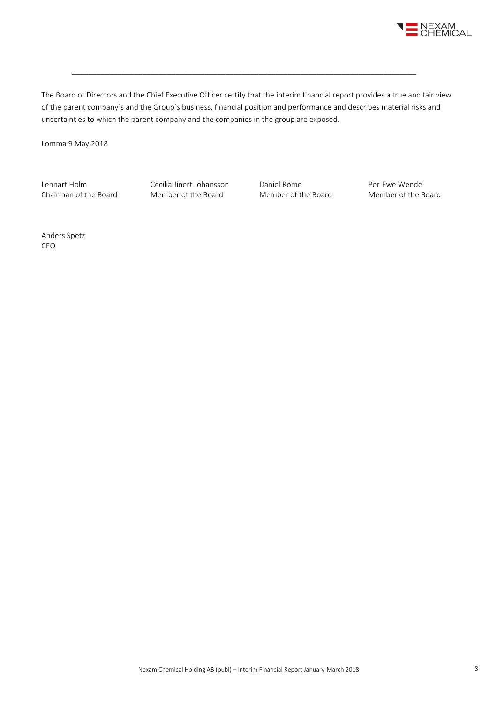

The Board of Directors and the Chief Executive Officer certify that the interim financial report provides a true and fair view of the parent company´s and the Group´s business, financial position and performance and describes material risks and uncertainties to which the parent company and the companies in the group are exposed.

\_\_\_\_\_\_\_\_\_\_\_\_\_\_\_\_\_\_\_\_\_\_\_\_\_\_\_\_\_\_\_\_\_\_\_\_\_\_\_\_\_\_\_\_\_\_\_\_\_\_\_\_\_\_\_\_\_\_\_\_\_\_\_\_\_\_\_\_\_\_\_\_\_\_\_\_\_\_\_\_\_\_\_

Lomma 9 May 2018

Lennart Holm Cecilia Jinert Johansson Daniel Röme<br>Chairman of the Board Member of the Board Member of the Board Member of the B

Chairman of the Board Member of the Board Member of the Board Member of the Board

Anders Spetz CEO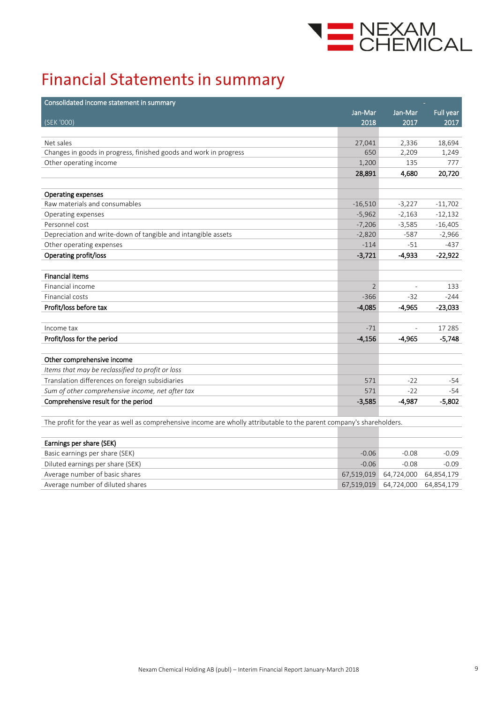

## **Financial Statements in summary**

| Consolidated income statement in summary                          |                |                |                  |
|-------------------------------------------------------------------|----------------|----------------|------------------|
|                                                                   | Jan-Mar        | Jan-Mar        | <b>Full year</b> |
| (SEK '000)                                                        | 2018           | 2017           | 2017             |
|                                                                   |                |                |                  |
| Net sales                                                         | 27,041         | 2,336          | 18,694           |
| Changes in goods in progress, finished goods and work in progress | 650            | 2,209          | 1,249            |
| Other operating income                                            | 1,200          | 135            | 777              |
|                                                                   | 28,891         | 4,680          | 20,720           |
|                                                                   |                |                |                  |
| Operating expenses                                                |                |                |                  |
| Raw materials and consumables                                     | $-16,510$      | $-3,227$       | $-11,702$        |
| Operating expenses                                                | $-5,962$       | $-2,163$       | $-12,132$        |
| Personnel cost                                                    | $-7,206$       | $-3,585$       | $-16,405$        |
| Depreciation and write-down of tangible and intangible assets     | $-2,820$       | $-587$         | $-2,966$         |
| Other operating expenses                                          | $-114$         | $-51$          | $-437$           |
| Operating profit/loss                                             | $-3,721$       | $-4.933$       | $-22,922$        |
|                                                                   |                |                |                  |
| <b>Financial items</b>                                            |                |                |                  |
| Financial income                                                  | $\overline{2}$ |                | 133              |
| Financial costs                                                   | $-366$         | $-32$          | $-244$           |
| Profit/loss before tax                                            | $-4,085$       | $-4,965$       | $-23,033$        |
|                                                                   |                |                |                  |
| Income tax                                                        | $-71$          | $\overline{a}$ | 17 285           |
| Profit/loss for the period                                        | $-4,156$       | $-4,965$       | $-5,748$         |
|                                                                   |                |                |                  |
| Other comprehensive income                                        |                |                |                  |
| Items that may be reclassified to profit or loss                  |                |                |                  |
| Translation differences on foreign subsidiaries                   | 571            | $-22$          | -54              |
| Sum of other comprehensive income, net after tax                  | 571            | $-22$          | $-54$            |
| Comprehensive result for the period                               | $-3,585$       | $-4.987$       | $-5,802$         |
|                                                                   |                |                |                  |

The profit for the year as well as comprehensive income are wholly attributable to the parent company's shareholders.

| Earnings per share (SEK)         |         |                                  |         |
|----------------------------------|---------|----------------------------------|---------|
| Basic earnings per share (SEK)   | $-0.06$ | $-0.08$                          | $-0.09$ |
| Diluted earnings per share (SEK) | $-0.06$ | $-0.08$                          | $-0.09$ |
| Average number of basic shares   |         | 67,519,019 64,724,000 64,854,179 |         |
| Average number of diluted shares |         | 67,519,019 64,724,000 64,854,179 |         |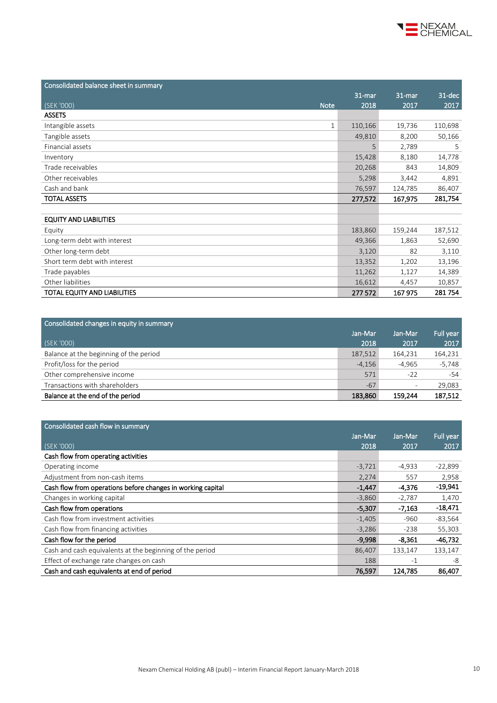

| Consolidated balance sheet in summary |         |         |         |
|---------------------------------------|---------|---------|---------|
|                                       | 31-mar  | 31-mar  | 31-dec  |
| (SEK '000)<br><b>Note</b>             | 2018    | 2017    | 2017    |
| <b>ASSETS</b>                         |         |         |         |
| Intangible assets<br>$\mathbf{1}$     | 110,166 | 19,736  | 110,698 |
| Tangible assets                       | 49,810  | 8,200   | 50,166  |
| Financial assets                      | 5       | 2,789   | 5       |
| Inventory                             | 15,428  | 8,180   | 14,778  |
| Trade receivables                     | 20,268  | 843     | 14,809  |
| Other receivables                     | 5,298   | 3,442   | 4,891   |
| Cash and bank                         | 76,597  | 124,785 | 86,407  |
| <b>TOTAL ASSETS</b>                   | 277,572 | 167,975 | 281,754 |
|                                       |         |         |         |
| <b>EQUITY AND LIABILITIES</b>         |         |         |         |
| Equity                                | 183,860 | 159,244 | 187,512 |
| Long-term debt with interest          | 49,366  | 1,863   | 52,690  |
| Other long-term debt                  | 3,120   | 82      | 3,110   |
| Short term debt with interest         | 13,352  | 1,202   | 13,196  |
| Trade payables                        | 11,262  | 1,127   | 14,389  |
| Other liabilities                     | 16,612  | 4,457   | 10,857  |
| TOTAL EQUITY AND LIABILITIES          | 277 572 | 167 975 | 281754  |

| Consolidated changes in equity in summary |          |          |           |
|-------------------------------------------|----------|----------|-----------|
|                                           | Jan-Mar  | Jan-Mar  | Full year |
| (SEK '000)                                | 2018     | 2017     | 2017      |
| Balance at the beginning of the period    | 187,512  | 164,231  | 164,231   |
| Profit/loss for the period                | $-4,156$ | $-4,965$ | $-5,748$  |
| Other comprehensive income                | 571      | $-22$    | -54       |
| Transactions with shareholders            | $-67$    |          | 29,083    |
| Balance at the end of the period          | 183,860  | 159,244  | 187,512   |

| Consolidated cash flow in summary                           |          |          |                  |
|-------------------------------------------------------------|----------|----------|------------------|
|                                                             | Jan-Mar  | Jan-Mar  | <b>Full year</b> |
| (SEK '000)                                                  | 2018     | 2017     | 2017             |
| Cash flow from operating activities                         |          |          |                  |
| Operating income                                            | $-3,721$ | $-4,933$ | $-22,899$        |
| Adjustment from non-cash items                              | 2,274    | 557      | 2,958            |
| Cash flow from operations before changes in working capital | $-1,447$ | $-4,376$ | $-19,941$        |
| Changes in working capital                                  | $-3,860$ | $-2,787$ | 1,470            |
| Cash flow from operations                                   | $-5,307$ | $-7,163$ | $-18,471$        |
| Cash flow from investment activities                        | $-1,405$ | $-960$   | $-83,564$        |
| Cash flow from financing activities                         | $-3,286$ | $-238$   | 55,303           |
| Cash flow for the period                                    | $-9.998$ | $-8.361$ | $-46.732$        |
| Cash and cash equivalents at the beginning of the period    | 86,407   | 133,147  | 133,147          |
| Effect of exchange rate changes on cash                     | 188      | $-1$     | -8               |
| Cash and cash equivalents at end of period                  | 76,597   | 124,785  | 86,407           |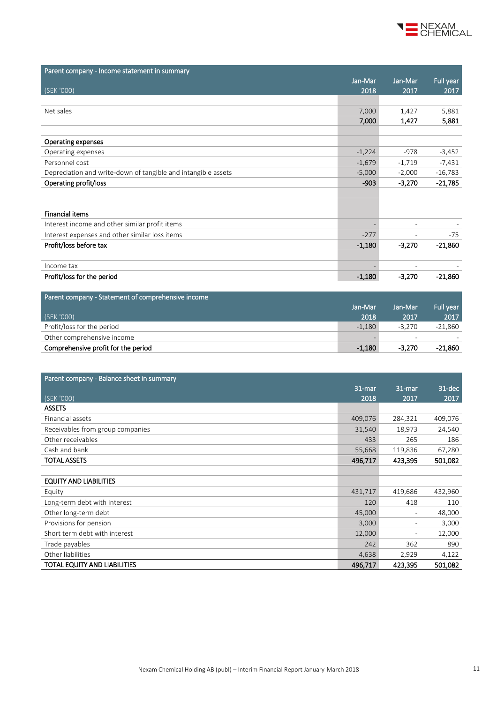

| Parent company - Income statement in summary                  |          |                          |                  |
|---------------------------------------------------------------|----------|--------------------------|------------------|
|                                                               | Jan-Mar  | Jan-Mar                  | <b>Full year</b> |
| (SEK '000)                                                    | 2018     | 2017                     | 2017             |
|                                                               |          |                          |                  |
| Net sales                                                     | 7,000    | 1,427                    | 5,881            |
|                                                               | 7,000    | 1,427                    | 5,881            |
|                                                               |          |                          |                  |
| <b>Operating expenses</b>                                     |          |                          |                  |
| Operating expenses                                            | $-1,224$ | $-978$                   | $-3,452$         |
| Personnel cost                                                | $-1,679$ | $-1,719$                 | $-7,431$         |
| Depreciation and write-down of tangible and intangible assets | $-5,000$ | $-2,000$                 | $-16,783$        |
| Operating profit/loss                                         | $-903$   | $-3,270$                 | $-21,785$        |
|                                                               |          |                          |                  |
|                                                               |          |                          |                  |
| <b>Financial items</b>                                        |          |                          |                  |
| Interest income and other similar profit items                |          | $\overline{\phantom{a}}$ |                  |
| Interest expenses and other similar loss items                | $-277$   |                          | $-75$            |
| Profit/loss before tax                                        | $-1,180$ | $-3,270$                 | $-21,860$        |
|                                                               |          |                          |                  |
| Income tax                                                    |          |                          |                  |
| Profit/loss for the period                                    | $-1,180$ | $-3,270$                 | $-21,860$        |
|                                                               |          |                          |                  |

| Parent company - Statement of comprehensive income |          |                          |                  |
|----------------------------------------------------|----------|--------------------------|------------------|
|                                                    | Jan-Mar  | Jan-Mar                  | <b>Full vear</b> |
| (SEK '000)                                         | 2018     | 2017                     | 2017             |
| Profit/loss for the period                         | $-1,180$ | $-3.270$                 | -21,860          |
| Other comprehensive income                         |          | $\overline{\phantom{a}}$ |                  |
| Comprehensive profit for the period                | $-1.180$ | $-3,270$                 | -21.860          |
|                                                    |          |                          |                  |

| Parent company - Balance sheet in summary |         |                          |           |
|-------------------------------------------|---------|--------------------------|-----------|
|                                           | 31-mar  | $31 - 77$                | $31$ -dec |
| (SEK '000)                                | 2018    | 2017                     | 2017      |
| <b>ASSETS</b>                             |         |                          |           |
| Financial assets                          | 409,076 | 284,321                  | 409,076   |
| Receivables from group companies          | 31,540  | 18,973                   | 24,540    |
| Other receivables                         | 433     | 265                      | 186       |
| Cash and bank                             | 55,668  | 119,836                  | 67,280    |
| <b>TOTAL ASSETS</b>                       | 496,717 | 423,395                  | 501,082   |
|                                           |         |                          |           |
| <b>EQUITY AND LIABILITIES</b>             |         |                          |           |
| Equity                                    | 431,717 | 419,686                  | 432,960   |
| Long-term debt with interest              | 120     | 418                      | 110       |
| Other long-term debt                      | 45,000  | $\overline{\phantom{a}}$ | 48,000    |
| Provisions for pension                    | 3,000   | $\overline{\phantom{a}}$ | 3,000     |
| Short term debt with interest             | 12,000  | $\overline{\phantom{0}}$ | 12,000    |
| Trade payables                            | 242     | 362                      | 890       |
| Other liabilities                         | 4,638   | 2,929                    | 4,122     |
| TOTAL EQUITY AND LIABILITIES              | 496,717 | 423,395                  | 501,082   |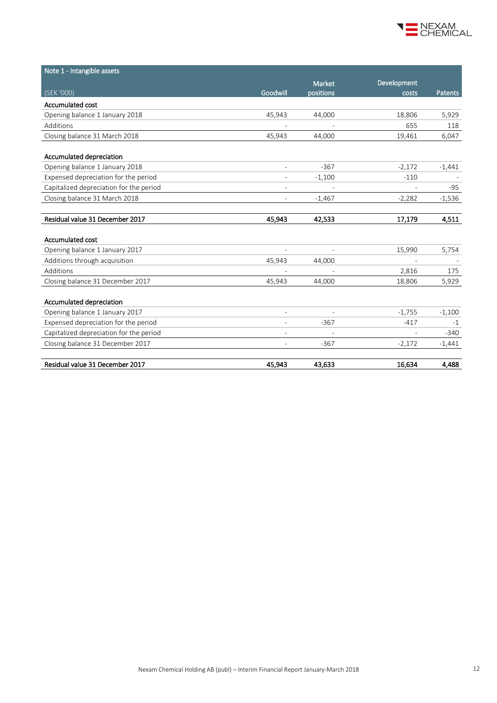

| Note 1 - Intangible assets              |                          |           |             |                |
|-----------------------------------------|--------------------------|-----------|-------------|----------------|
|                                         |                          | Market    | Development |                |
| (SEK '000)                              | Goodwill                 | positions | costs       | <b>Patents</b> |
| Accumulated cost                        |                          |           |             |                |
| Opening balance 1 January 2018          | 45,943                   | 44,000    | 18,806      | 5,929          |
| Additions                               |                          |           | 655         | 118            |
| Closing balance 31 March 2018           | 45,943                   | 44,000    | 19,461      | 6,047          |
| Accumulated depreciation                |                          |           |             |                |
| Opening balance 1 January 2018          | $\overline{\phantom{a}}$ | $-367$    | $-2,172$    | $-1,441$       |
| Expensed depreciation for the period    |                          | $-1,100$  | $-110$      |                |
| Capitalized depreciation for the period |                          |           |             | -95            |
| Closing balance 31 March 2018           |                          | $-1,467$  | $-2,282$    | $-1,536$       |
|                                         |                          |           |             |                |
| Residual value 31 December 2017         | 45,943                   | 42,533    | 17,179      | 4,511          |
|                                         |                          |           |             |                |
| Accumulated cost                        |                          |           |             |                |
| Opening balance 1 January 2017          | $\overline{\phantom{a}}$ |           | 15,990      | 5,754          |
| Additions through acquisition           | 45,943                   | 44,000    |             |                |
| Additions                               |                          |           | 2,816       | 175            |
| Closing balance 31 December 2017        | 45,943                   | 44,000    | 18,806      | 5,929          |
|                                         |                          |           |             |                |
| Accumulated depreciation                |                          |           |             |                |
| Opening balance 1 January 2017          | $\overline{a}$           |           | $-1,755$    | $-1,100$       |
| Expensed depreciation for the period    | $\overline{\phantom{a}}$ | $-367$    | $-417$      | $-1$           |
| Capitalized depreciation for the period |                          |           |             | $-340$         |
| Closing balance 31 December 2017        |                          | $-367$    | $-2,172$    | $-1,441$       |
| Residual value 31 December 2017         | 45,943                   | 43,633    | 16,634      | 4,488          |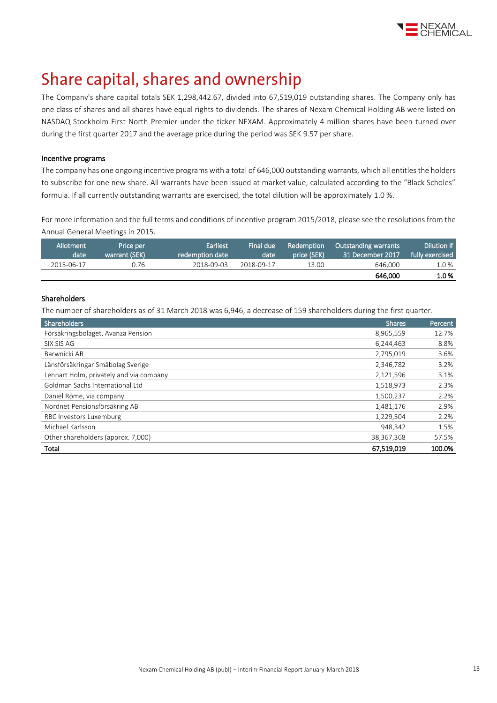

## Share capital, shares and ownership

The Company's share capital totals SEK 1,298,442.67, divided into 67,519,019 outstanding shares. The Company only has one class of shares and all shares have equal rights to dividends. The shares of Nexam Chemical Holding AB were listed on NASDAQ Stockholm First North Premier under the ticker NEXAM. Approximately 4 million shares have been turned over during the first quarter 2017 and the average price during the period was SEK 9.57 per share.

#### Incentive programs

The company has one ongoing incentive programs with a total of 646,000 outstanding warrants, which all entitles the holders to subscribe for one new share. All warrants have been issued at market value, calculated according to the "Black Scholes" formula. If all currently outstanding warrants are exercised, the total dilution will be approximately 1.0 %.

For more information and the full terms and conditions of incentive program 2015/2018, please see the resolutions from the Annual General Meetings i[n 2015.](http://www.nexamchemical.com/secure/CMS/?language=en#context=epi.cms.contentdata:///245&viewsetting=active:///true)

| Allotment<br>date | Price per<br>warrant (SEK) | <b>Earliest</b><br>redemption date | Final due<br>date | <b>Redemption</b><br>price (SEK) | Outstanding warrants<br>31 December 2017 | Dilution if<br>fully exercised |
|-------------------|----------------------------|------------------------------------|-------------------|----------------------------------|------------------------------------------|--------------------------------|
| 2015-06-17        | 0.76                       | 2018-09-03                         | 2018-09-17        | 13.00                            | 646,000                                  | 1.0 %                          |
|                   |                            |                                    |                   |                                  | 646,000                                  | 1.0%                           |

#### Shareholders

The number of shareholders as of 31 March 2018 was 6,946, a decrease of 159 shareholders during the first quarter.

| Shareholders                            | <b>Shares</b> | Percent |
|-----------------------------------------|---------------|---------|
| Försäkringsbolaget, Avanza Pension      | 8,965,559     | 12.7%   |
| SIX SIS AG                              | 6,244,463     | 8.8%    |
| Barwnicki AB                            | 2,795,019     | 3.6%    |
| Länsförsäkringar Småbolag Sverige       | 2,346,782     | 3.2%    |
| Lennart Holm, privately and via company | 2,121,596     | 3.1%    |
| Goldman Sachs International Ltd         | 1,518,973     | 2.3%    |
| Daniel Röme, via company                | 1,500,237     | 2.2%    |
| Nordnet Pensionsförsäkring AB           | 1,481,176     | 2.9%    |
| RBC Investors Luxemburg                 | 1,229,504     | 2.2%    |
| Michael Karlsson                        | 948.342       | 1.5%    |
| Other shareholders (approx. 7,000)      | 38,367,368    | 57.5%   |
| Total                                   | 67,519,019    | 100.0%  |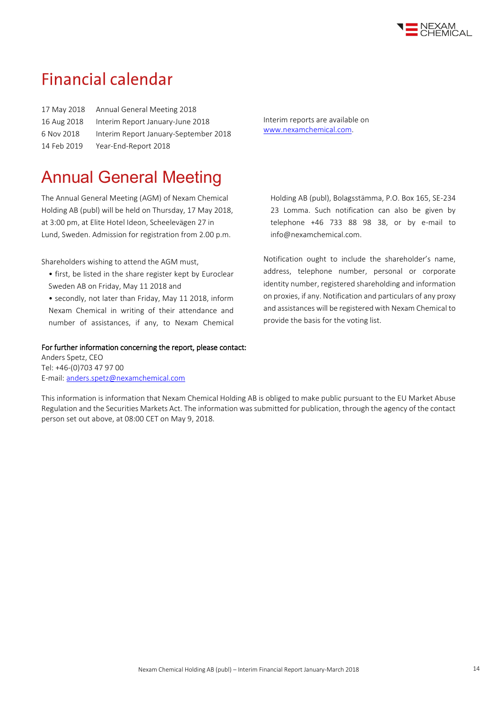

### **Financial calendar**

| Annual General Meeting 2018           |
|---------------------------------------|
| Interim Report January-June 2018      |
| Interim Report January-September 2018 |
| Year-End-Report 2018                  |
|                                       |

Interim reports are available on [www.nexamchemical.com.](http://www.nexamchemical.com/)

## Annual General Meeting

The Annual General Meeting (AGM) of Nexam Chemical Holding AB (publ) will be held on Thursday, 17 May 2018, at 3:00 pm, at Elite Hotel Ideon, Scheelevägen 27 in Lund, Sweden. Admission for registration from 2.00 p.m.

Shareholders wishing to attend the AGM must,

- first, be listed in the share register kept by Euroclear Sweden AB on Friday, May 11 2018 and
- secondly, not later than Friday, May 11 2018, inform Nexam Chemical in writing of their attendance and number of assistances, if any, to Nexam Chemical

#### For further information concerning the report, please contact:

Anders Spetz, CEO Tel: +46-(0)703 47 97 00 E-mail[: anders.spetz@nexamchemical.com](mailto:anders.spetz@nexamchemical.com) Holding AB (publ), Bolagsstämma, P.O. Box 165, SE-234 23 Lomma. Such notification can also be given by telephone +46 733 88 98 38, or by e-mail to info@nexamchemical.com.

Notification ought to include the shareholder's name, address, telephone number, personal or corporate identity number, registered shareholding and information on proxies, if any. Notification and particulars of any proxy and assistances will be registered with Nexam Chemical to provide the basis for the voting list.

This information is information that Nexam Chemical Holding AB is obliged to make public pursuant to the EU Market Abuse Regulation and the Securities Markets Act. The information was submitted for publication, through the agency of the contact person set out above, at 08:00 CET on May 9, 2018.